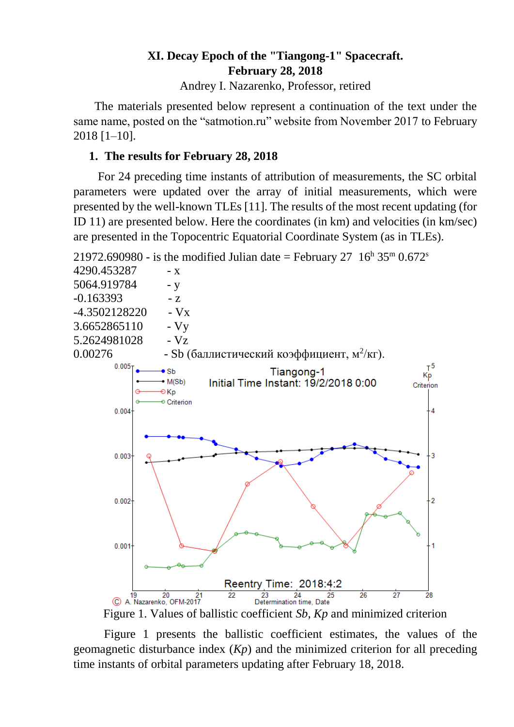## **XI. Decay Epoch of the "Tiangong-1" Spacecraft. February 28, 2018**

Andrey I. Nazarenko, Professor, retired

 The materials presented below represent a continuation of the text under the same name, posted on the "satmotion.ru" website from November 2017 to February 2018 [1–10].

# **1. The results for February 28, 2018**

For 24 preceding time instants of attribution of measurements, the SC orbital parameters were updated over the array of initial measurements, which were presented by the well-known TLEs [11]. The results of the most recent updating (for ID 11) are presented below. Here the coordinates (in km) and velocities (in km/sec) are presented in the Topocentric Equatorial Coordinate System (as in TLEs).



Figure 1. Values of ballistic coefficient *Sb*, *Kp* and minimized criterion

Figure 1 presents the ballistic coefficient estimates, the values of the geomagnetic disturbance index (*Kp*) and the minimized criterion for all preceding time instants of orbital parameters updating after February 18, 2018.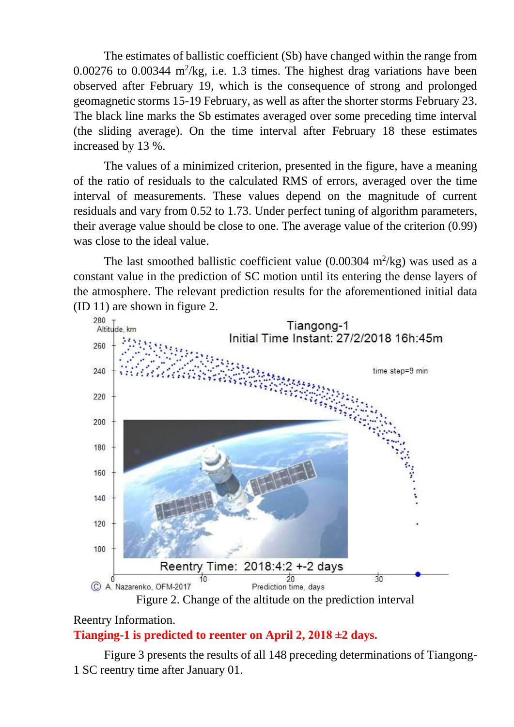The estimates of ballistic coefficient (Sb) have changed within the range from  $0.00276$  to  $0.00344$  m<sup>2</sup>/kg, i.e. 1.3 times. The highest drag variations have been observed after February 19, which is the consequence of strong and prolonged geomagnetic storms 15-19 February, as well as after the shorter storms February 23. The black line marks the Sb estimates averaged over some preceding time interval (the sliding average). On the time interval after February 18 these estimates increased by 13 %.

The values of a minimized criterion, presented in the figure, have a meaning of the ratio of residuals to the calculated RMS of errors, averaged over the time interval of measurements. These values depend on the magnitude of current residuals and vary from 0.52 to 1.73. Under perfect tuning of algorithm parameters, their average value should be close to one. The average value of the criterion (0.99) was close to the ideal value.

The last smoothed ballistic coefficient value  $(0.00304 \text{ m}^2/\text{kg})$  was used as a constant value in the prediction of SC motion until its entering the dense layers of the atmosphere. The relevant prediction results for the aforementioned initial data (ID 11) are shown in figure 2.



Figure 2. Change of the altitude on the prediction interval

### Reentry Information. **Tianging-1 is predicted to reenter on April 2, 2018 ±2 days.**

Figure 3 presents the results of all 148 preceding determinations of Tiangong-1 SC reentry time after January 01.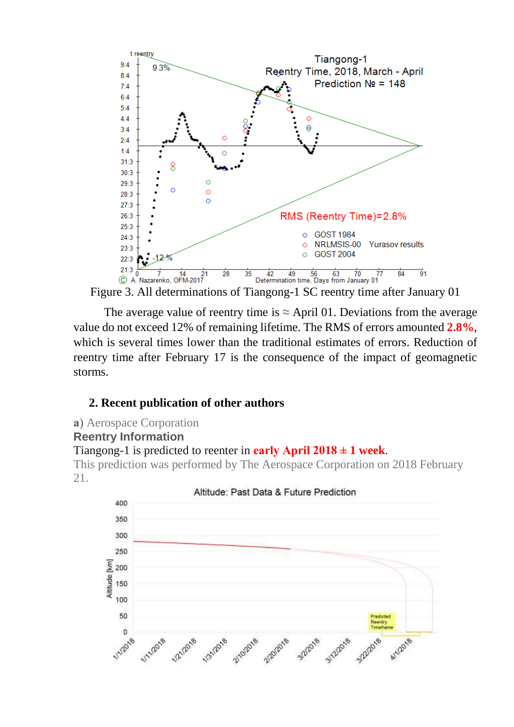

The average value of reentry time is  $\approx$  April 01. Deviations from the average value do not exceed 12% of remaining lifetime. The RMS of errors amounted **2.8%**, which is several times lower than the traditional estimates of errors. Reduction of reentry time after February 17 is the consequence of the impact of geomagnetic storms.

## **2. Recent publication of other authors**

**а**) Aerospace Corporation

## **Reentry Information**

#### Tiangong-1 is predicted to reenter in **early April 2018 ± 1 week**.

This prediction was performed by The Aerospace Corporation on 2018 February 21.



Altitude: Past Data & Future Prediction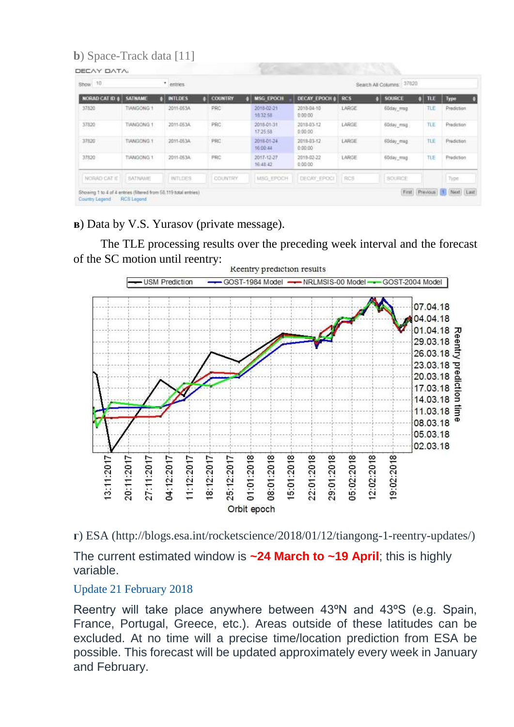# **b**) Space-Track data [11]

| Show 10         |                   | * entries.     |                   |                        |                       |            | 37820<br>Search All Columns: |          |                                      |
|-----------------|-------------------|----------------|-------------------|------------------------|-----------------------|------------|------------------------------|----------|--------------------------------------|
| NORAD CAT ID    | <b>SATNAME</b>    | <b>INTLDES</b> | <b>COUNTRY</b>    | <b>MSG EPOCH</b>       | <b>DECAY EPOCH</b>    | <b>RCS</b> | <b>SOURCE</b>                | TLE      | Type                                 |
| 37820           | TIANGONG 1        | 2011-053A      | PRC<br><b>YOU</b> | 2018-02-21<br>18:32:58 | 2018-04-10<br>0.00.00 | LARGE      | 6Bday, msg.                  | TLE      | Prediction                           |
| 37820<br>98. CA | <b>TIANGONG 1</b> | 2011-053A      | PRC<br>9422       | 2018-01-31<br>17:25:58 | 2018-03-12<br>0.00.00 | LARGE      | 60day_msg                    | TLE<br>. | Prediction                           |
| 37820           | <b>TIANGONG 1</b> | 2011-053A      | PRC               | 2018-01-24<br>16:00:44 | 2018-03-12<br>0.00.00 | LARGE      | 60day_mag                    | TLE      | ing Louisia's European<br>Prediction |
| 37820<br>ಂಬಾ    | TIANGONG 1        | 2011-053A      | PRC               | 2017-12-27<br>16:48:42 | 2018-02-22<br>0.00.00 | LARGE      | 60day_mag                    | TLE      | Prediction                           |
| NORAD CAT IT    | <b>SATNAME</b>    | <b>INTLDES</b> | COUNTRY           | MSG-EPOCH              | DECAY EPOCI           | FOS!       | SOURCE                       |          | Type                                 |

**в**) Data by V.S. Yurasov (private message).

 The TLE processing results over the preceding week interval and the forecast of the SC motion until reentry:



**г**) ESA (http://blogs.esa.int/rocketscience/2018/01/12/tiangong-1-reentry-updates/)

The current estimated window is **~24 March to ~19 April**; this is highly variable.

## Update 21 February 2018

Reentry will take place anywhere between 43ºN and 43ºS (e.g. Spain, France, Portugal, Greece, etc.). Areas outside of these latitudes can be excluded. At no time will a precise time/location prediction from ESA be possible. This forecast will be updated approximately every week in January and February.